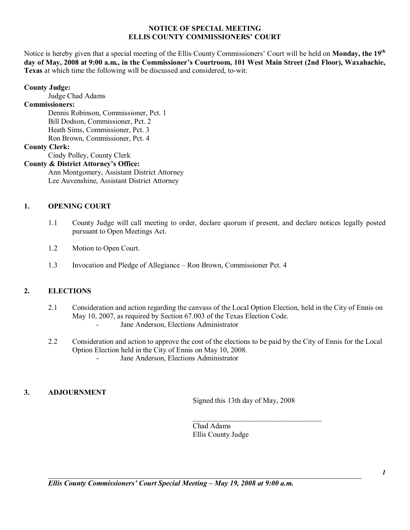## **NOTICE OF SPECIAL MEETING ELLIS COUNTY COMMISSIONERS' COURT**

Notice is hereby given that a special meeting of the Ellis County Commissioners' Court will be held on **Monday, the 19<sup>th</sup>** day of May, 2008 at 9:00 a.m., in the Commissioner's Courtroom, 101 West Main Street (2nd Floor), Waxahachie, **Texas** at which time the following will be discussed and considered, to-wit:

### **County Judge:**

Judge Chad Adams

# **Commissioners:**

 Dennis Robinson, Commissioner, Pct. 1 Bill Dodson, Commissioner, Pct. 2 Heath Sims, Commissioner, Pct. 3 Ron Brown, Commissioner, Pct. 4

### **County Clerk:**

Cindy Polley, County Clerk

## **County & District Attorney's Office:**

 Ann Montgomery, Assistant District Attorney Lee Auvenshine, Assistant District Attorney

## **1. OPENING COURT**

- 1.1 County Judge will call meeting to order, declare quorum if present, and declare notices legally posted pursuant to Open Meetings Act.
- 1.2 Motion to Open Court.
- 1.3 Invocation and Pledge of Allegiance Ron Brown, Commissioner Pct. 4

# **2. ELECTIONS**

- 2.1 Consideration and action regarding the canvass of the Local Option Election, held in the City of Ennis on May 10, 2007, as required by Section 67.003 of the Texas Election Code. Jane Anderson, Elections Administrator
	-
- 2.2 Consideration and action to approve the cost of the elections to be paid by the City of Ennis for the Local Option Election held in the City of Ennis on May 10, 2008. Jane Anderson, Elections Administrator

## **3. ADJOURNMENT**

Signed this 13th day of May, 2008

 $\mathcal{L}_\text{max}$ 

Chad Adams Ellis County Judge